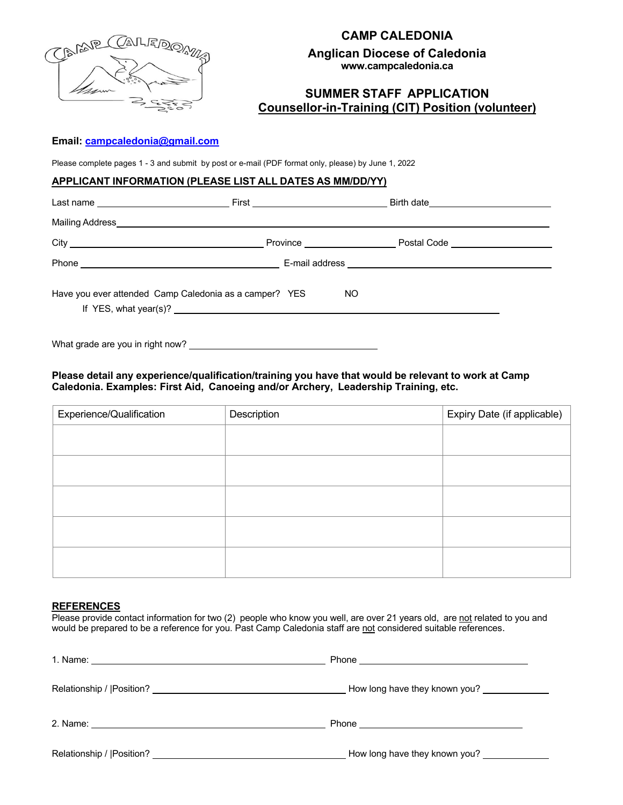

# **CAMP CALEDONIA**

**Anglican Diocese of Caledonia www.campcaledonia.ca**

## **SUMMER STAFF APPLICATION Counsellor-in-Training (CIT) Position (volunteer)**

#### **Email: campcaledonia@gmail.com**

Please complete pages 1 - 3 and submit by post or e-mail (PDF format only, please) by June 1, 2022

#### **APPLICANT INFORMATION (PLEASE LIST ALL DATES AS MM/DD/YY)**

|                                                        | Postal Code <u>example and the set of the set of the set of the set of the set of the set of the set of the set of the set of the set of the set of the set of the set of the set of the set of the set of the set of the set of</u> |  |
|--------------------------------------------------------|--------------------------------------------------------------------------------------------------------------------------------------------------------------------------------------------------------------------------------------|--|
|                                                        |                                                                                                                                                                                                                                      |  |
| Have you ever attended Camp Caledonia as a camper? YES | NO.                                                                                                                                                                                                                                  |  |

What grade are you in right now?

#### **Please detail any experience/qualification/training you have that would be relevant to work at Camp Caledonia. Examples: First Aid, Canoeing and/or Archery, Leadership Training, etc.**

| Experience/Qualification | Description | Expiry Date (if applicable) |
|--------------------------|-------------|-----------------------------|
|                          |             |                             |
|                          |             |                             |
|                          |             |                             |
|                          |             |                             |
|                          |             |                             |

#### **REFERENCES**

Please provide contact information for two (2) people who know you well, are over 21 years old, are not related to you and would be prepared to be a reference for you. Past Camp Caledonia staff are not considered suitable references.

|                           | How long have they known you? _____________ |
|---------------------------|---------------------------------------------|
|                           |                                             |
| Relationship /  Position? | How long have they known you?               |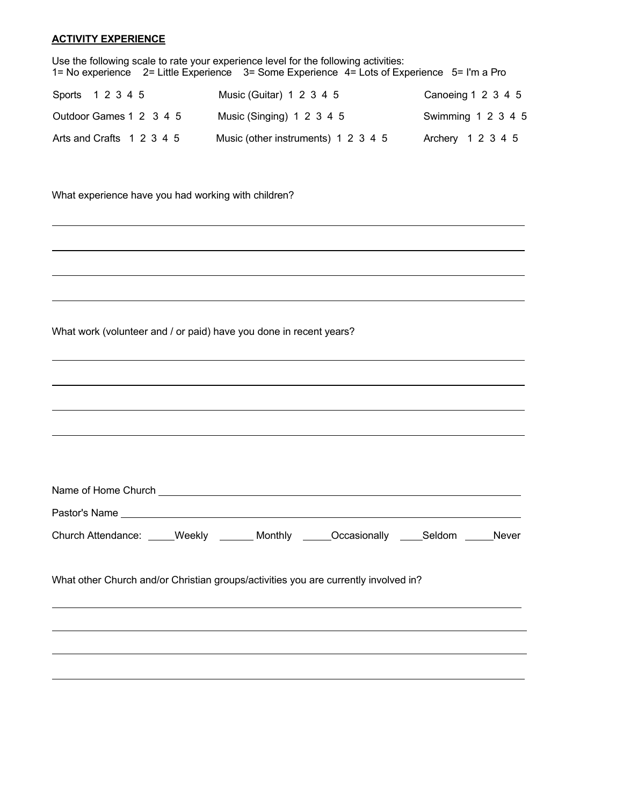#### **ACTIVITY EXPERIENCE**

| Use the following scale to rate your experience level for the following activities:<br>1= No experience 2= Little Experience 3= Some Experience 4= Lots of Experience 5= I'm a Pro |                                     |                    |  |  |
|------------------------------------------------------------------------------------------------------------------------------------------------------------------------------------|-------------------------------------|--------------------|--|--|
| Sports 1 2 3 4 5                                                                                                                                                                   | Music (Guitar) 1 2 3 4 5            | Canoeing 1 2 3 4 5 |  |  |
| Outdoor Games 1 2 3 4 5                                                                                                                                                            | Music (Singing) 1 2 3 4 5           | Swimming 1 2 3 4 5 |  |  |
| Arts and Crafts 1 2 3 4 5                                                                                                                                                          | Music (other instruments) 1 2 3 4 5 | Archery 1 2 3 4 5  |  |  |

What experience have you had working with children?

What work (volunteer and / or paid) have you done in recent years?

| Church Attendance: _____Weekly _______ Monthly ______Occasionally _____Seldom _____Never |  |                                                                                   |  |
|------------------------------------------------------------------------------------------|--|-----------------------------------------------------------------------------------|--|
| What other Church and/or Christian groups/activities you are currently involved in?      |  |                                                                                   |  |
|                                                                                          |  | ,我们也不能会有什么。""我们的人,我们也不能会有什么?""我们的人,我们也不能会有什么?""我们的人,我们也不能会有什么?""我们的人,我们也不能会有什么?"" |  |
|                                                                                          |  |                                                                                   |  |
|                                                                                          |  |                                                                                   |  |
|                                                                                          |  |                                                                                   |  |